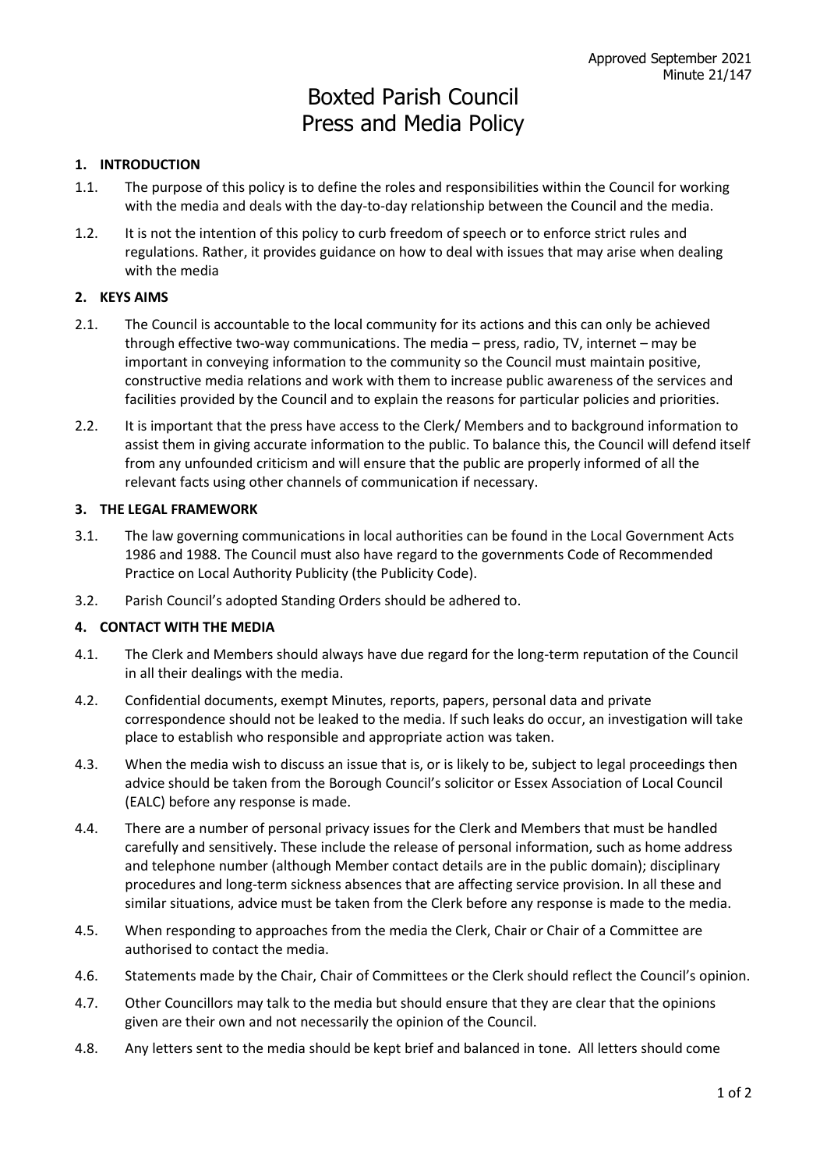# Boxted Parish Council Press and Media Policy

## **1. INTRODUCTION**

- 1.1. The purpose of this policy is to define the roles and responsibilities within the Council for working with the media and deals with the day-to-day relationship between the Council and the media.
- 1.2. It is not the intention of this policy to curb freedom of speech or to enforce strict rules and regulations. Rather, it provides guidance on how to deal with issues that may arise when dealing with the media

## **2. KEYS AIMS**

- 2.1. The Council is accountable to the local community for its actions and this can only be achieved through effective two-way communications. The media – press, radio, TV, internet – may be important in conveying information to the community so the Council must maintain positive, constructive media relations and work with them to increase public awareness of the services and facilities provided by the Council and to explain the reasons for particular policies and priorities.
- 2.2. It is important that the press have access to the Clerk/ Members and to background information to assist them in giving accurate information to the public. To balance this, the Council will defend itself from any unfounded criticism and will ensure that the public are properly informed of all the relevant facts using other channels of communication if necessary.

## **3. THE LEGAL FRAMEWORK**

- 3.1. The law governing communications in local authorities can be found in the Local Government Acts 1986 and 1988. The Council must also have regard to the governments Code of Recommended Practice on Local Authority Publicity (the Publicity Code).
- 3.2. Parish Council's adopted Standing Orders should be adhered to.

## **4. CONTACT WITH THE MEDIA**

- 4.1. The Clerk and Members should always have due regard for the long-term reputation of the Council in all their dealings with the media.
- 4.2. Confidential documents, exempt Minutes, reports, papers, personal data and private correspondence should not be leaked to the media. If such leaks do occur, an investigation will take place to establish who responsible and appropriate action was taken.
- 4.3. When the media wish to discuss an issue that is, or is likely to be, subject to legal proceedings then advice should be taken from the Borough Council's solicitor or Essex Association of Local Council (EALC) before any response is made.
- 4.4. There are a number of personal privacy issues for the Clerk and Members that must be handled carefully and sensitively. These include the release of personal information, such as home address and telephone number (although Member contact details are in the public domain); disciplinary procedures and long-term sickness absences that are affecting service provision. In all these and similar situations, advice must be taken from the Clerk before any response is made to the media.
- 4.5. When responding to approaches from the media the Clerk, Chair or Chair of a Committee are authorised to contact the media.
- 4.6. Statements made by the Chair, Chair of Committees or the Clerk should reflect the Council's opinion.
- 4.7. Other Councillors may talk to the media but should ensure that they are clear that the opinions given are their own and not necessarily the opinion of the Council.
- 4.8. Any letters sent to the media should be kept brief and balanced in tone. All letters should come